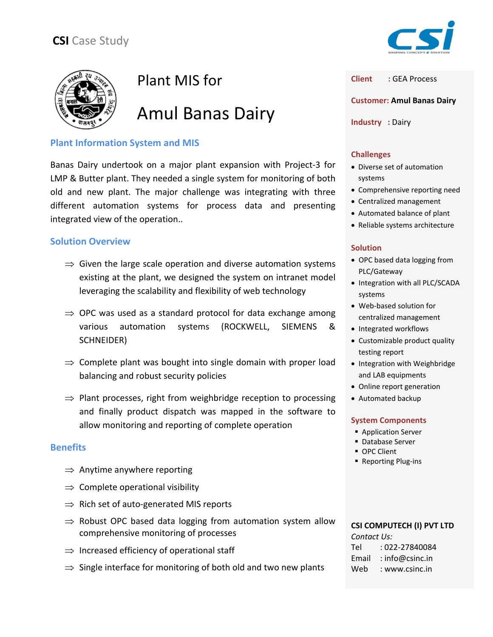

# Plant MIS for

Amul Banas Dairy

# **Plant Information System and MIS**

Banas Dairy undertook on a major plant expansion with Project‐3 for LMP & Butter plant. They needed a single system for monitoring of both old and new plant. The major challenge was integrating with three different automation systems for process data and presenting integrated view of the operation..

## **Solution Overview**

- $\Rightarrow$  Given the large scale operation and diverse automation systems existing at the plant, we designed the system on intranet model leveraging the scalability and flexibility of web technology
- $\Rightarrow$  OPC was used as a standard protocol for data exchange among various automation systems (ROCKWELL, SIEMENS & SCHNEIDER)
- $\Rightarrow$  Complete plant was bought into single domain with proper load balancing and robust security policies
- $\Rightarrow$  Plant processes, right from weighbridge reception to processing and finally product dispatch was mapped in the software to allow monitoring and reporting of complete operation

### **Benefits**

- $\Rightarrow$  Anytime anywhere reporting
- $\Rightarrow$  Complete operational visibility
- $\Rightarrow$  Rich set of auto-generated MIS reports
- $\Rightarrow$  Robust OPC based data logging from automation system allow comprehensive monitoring of processes
- $\Rightarrow$  Increased efficiency of operational staff
- $\Rightarrow$  Single interface for monitoring of both old and two new plants



**Client :** GEA Process

**Customer: Amul Banas Dairy**

**Industry :** Dairy

#### **Challenges**

- Diverse set of automation systems
- Comprehensive reporting need
- Centralized management
- Automated balance of plant
- Reliable systems architecture

#### **Solution**

- OPC based data logging from PLC/Gateway
- Integration with all PLC/SCADA systems
- Web‐based solution for centralized management
- Integrated workflows
- Customizable product quality testing report
- Integration with Weighbridge and LAB equipments
- Online report generation
- Automated backup

### **System Components**

- **Application Server**
- **Database Server**
- **OPC Client**
- Reporting Plug-ins

#### **CSI COMPUTECH (I) PVT LTD** *Contact Us:*

| Comuct Os. |                 |
|------------|-----------------|
| Tel        | : 022-27840084  |
| Email      | : info@csinc.in |
| Web        | : www.csinc.in  |